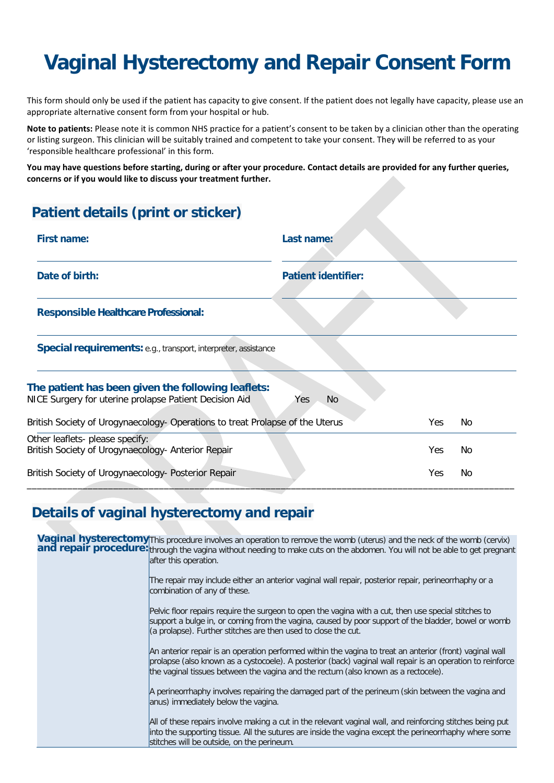# **Vaginal Hysterectomy and Repair Consent Form**

This form should only be used if the patient has capacity to give consent. If the patient does not legally have capacity, please use an appropriate alternative consent form from your hospital or hub.

**Note to patients:** Please note it is common NHS practice for a patient's consent to be taken by a clinician other than the operating or listing surgeon. This clinician will be suitably trained and competent to take your consent. They will be referred to as your 'responsible healthcare professional' in this form.

**You may have questions before starting, during or after your procedure. Contact details are provided for any further queries, concerns or if you would like to discuss your treatment further.** 

# **Patient details (print or sticker)**

| <b>First name:</b>                                                                                           | Last name:                 |            |    |
|--------------------------------------------------------------------------------------------------------------|----------------------------|------------|----|
| Date of birth:                                                                                               | <b>Patient identifier:</b> |            |    |
| <b>Responsible Healthcare Professional:</b>                                                                  |                            |            |    |
| Special requirements: e.g., transport, interpreter, assistance                                               |                            |            |    |
| The patient has been given the following leaflets:<br>NICE Surgery for uterine prolapse Patient Decision Aid | No.<br>Yes.                |            |    |
| British Society of Urogynaecology- Operations to treat Prolapse of the Uterus                                |                            | Yes        | No |
| Other leaflets- please specify:<br>British Society of Urogynaecology- Anterior Repair                        |                            | Yes        | No |
| British Society of Urogynaecology- Posterior Repair                                                          |                            | <b>Yes</b> | No |

### **Details of vaginal hysterectomy and repair**

Vaginal hysterectomy This procedure involves an operation to remove the womb (uterus) and the neck of the womb (cervix) and repair procedure: through the vagina without needing to make cuts on the abdomen. You will not be able to get pregnant after this operation. The repair may include either an anterior vaginal wall repair, posterior repair, perineorrhaphy or a combination of any of these. Pelvic floor repairs require the surgeon to open the vagina with a cut, then use special stitches to support a bulge in, or coming from the vagina, caused by poor support of the bladder, bowel or womb

(a prolapse). Further stitches are then used to close the cut.

An anterior repair is an operation performed within the vagina to treat an anterior (front) vaginal wall prolapse (also known as a cystocoele). A posterior (back) vaginal wall repair is an operation to reinforce the vaginal tissues between the vagina and the rectum (also known as a rectocele).

A perineorrhaphy involves repairing the damaged part of the perineum (skin between the vagina and anus) immediately below the vagina.

All of these repairs involve making a cut in the relevant vaginal wall, and reinforcing stitches being put into the supporting tissue. All the sutures are inside the vagina except the perineorrhaphy where some stitches will be outside, on the perineum.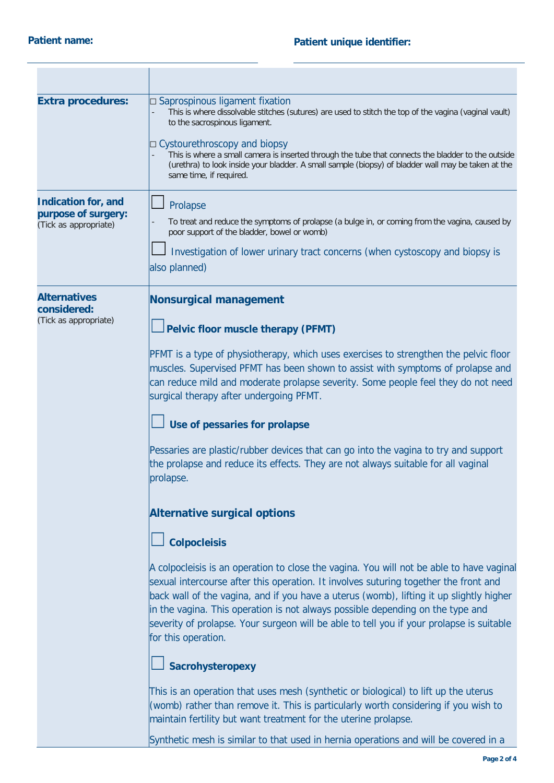| <b>Extra procedures:</b>                                                   | □ Saprospinous ligament fixation<br>This is where dissolvable stitches (sutures) are used to stitch the top of the vagina (vaginal vault)<br>to the sacrospinous ligament.<br>□ Cystourethroscopy and biopsy<br>This is where a small camera is inserted through the tube that connects the bladder to the outside<br>(urethra) to look inside your bladder. A small sample (biopsy) of bladder wall may be taken at the<br>same time, if required.                                                                                                                                                                                                                                                                                                         |
|----------------------------------------------------------------------------|-------------------------------------------------------------------------------------------------------------------------------------------------------------------------------------------------------------------------------------------------------------------------------------------------------------------------------------------------------------------------------------------------------------------------------------------------------------------------------------------------------------------------------------------------------------------------------------------------------------------------------------------------------------------------------------------------------------------------------------------------------------|
| <b>Indication for, and</b><br>purpose of surgery:<br>(Tick as appropriate) | Prolapse<br>To treat and reduce the symptoms of prolapse (a bulge in, or coming from the vagina, caused by<br>poor support of the bladder, bowel or womb)<br>Investigation of lower urinary tract concerns (when cystoscopy and biopsy is<br>also planned)                                                                                                                                                                                                                                                                                                                                                                                                                                                                                                  |
| <b>Alternatives</b><br>considered:<br>(Tick as appropriate)                | Nonsurgical management<br>Pelvic floor muscle therapy (PFMT)<br>PFMT is a type of physiotherapy, which uses exercises to strengthen the pelvic floor<br>muscles. Supervised PFMT has been shown to assist with symptoms of prolapse and<br>can reduce mild and moderate prolapse severity. Some people feel they do not need<br>surgical therapy after undergoing PFMT.<br>Use of pessaries for prolapse<br>Pessaries are plastic/rubber devices that can go into the vagina to try and support<br>the prolapse and reduce its effects. They are not always suitable for all vaginal<br>prolapse.<br><b>Alternative surgical options</b><br><b>Colpocleisis</b><br>A colpocleisis is an operation to close the vagina. You will not be able to have vaginal |
|                                                                            | sexual intercourse after this operation. It involves suturing together the front and<br>back wall of the vagina, and if you have a uterus (womb), lifting it up slightly higher<br>in the vagina. This operation is not always possible depending on the type and<br>severity of prolapse. Your surgeon will be able to tell you if your prolapse is suitable<br>for this operation.<br>Sacrohysteropexy<br>This is an operation that uses mesh (synthetic or biological) to lift up the uterus<br>(womb) rather than remove it. This is particularly worth considering if you wish to<br>maintain fertility but want treatment for the uterine prolapse.<br>Synthetic mesh is similar to that used in hernia operations and will be covered in a           |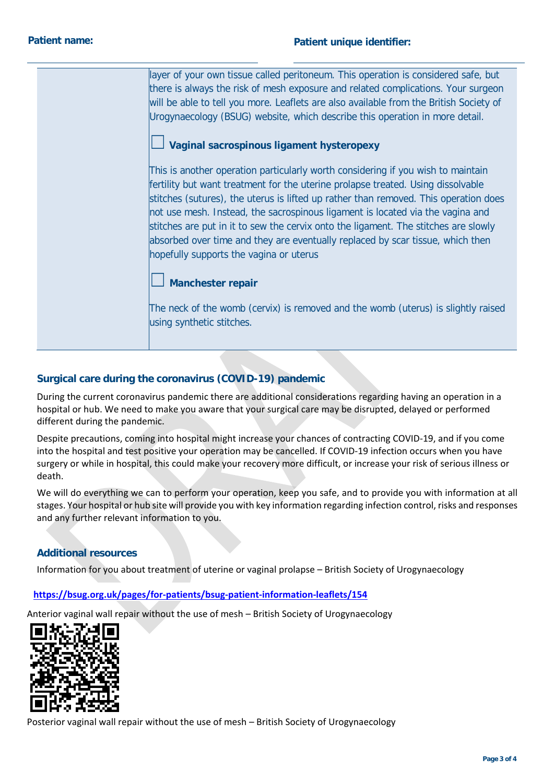| ayer of your own tissue called peritoneum. This operation is considered safe, but<br>there is always the risk of mesh exposure and related complications. Your surgeon<br>will be able to tell you more. Leaflets are also available from the British Society of<br>Urogynaecology (BSUG) website, which describe this operation in more detail.                                                                                                                                                                                                                                                                |
|-----------------------------------------------------------------------------------------------------------------------------------------------------------------------------------------------------------------------------------------------------------------------------------------------------------------------------------------------------------------------------------------------------------------------------------------------------------------------------------------------------------------------------------------------------------------------------------------------------------------|
| Vaginal sacrospinous ligament hysteropexy<br>This is another operation particularly worth considering if you wish to maintain<br>fertility but want treatment for the uterine prolapse treated. Using dissolvable<br>stitches (sutures), the uterus is lifted up rather than removed. This operation does<br>not use mesh. Instead, the sacrospinous ligament is located via the vagina and<br>stitches are put in it to sew the cervix onto the ligament. The stitches are slowly<br>absorbed over time and they are eventually replaced by scar tissue, which then<br>hopefully supports the vagina or uterus |
| <b>Manchester repair</b><br>The neck of the womb (cervix) is removed and the womb (uterus) is slightly raised<br>using synthetic stitches.                                                                                                                                                                                                                                                                                                                                                                                                                                                                      |

### **Surgical care during the coronavirus (COVID-19) pandemic**

During the current coronavirus pandemic there are additional considerations regarding having an operation in a hospital or hub. We need to make you aware that your surgical care may be disrupted, delayed or performed different during the pandemic.

Despite precautions, coming into hospital might increase your chances of contracting COVID-19, and if you come into the hospital and test positive your operation may be cancelled. If COVID-19 infection occurs when you have surgery or while in hospital, this could make your recovery more difficult, or increase your risk of serious illness or death.

We will do everything we can to perform your operation, keep you safe, and to provide you with information at all stages. Your hospital or hub site will provide you with key information regarding infection control, risks and responses and any further relevant information to you.

### **Additional resources**

Information for you about treatment of uterine or vaginal prolapse – British Society of Urogynaecology

#### **<https://bsug.org.uk/pages/for-patients/bsug-patient-information-leaflets/154>**

Anterior vaginal wall repair without the use of mesh – British Society of Urogynaecology



Posterior vaginal wall repair without the use of mesh – British Society of Urogynaecology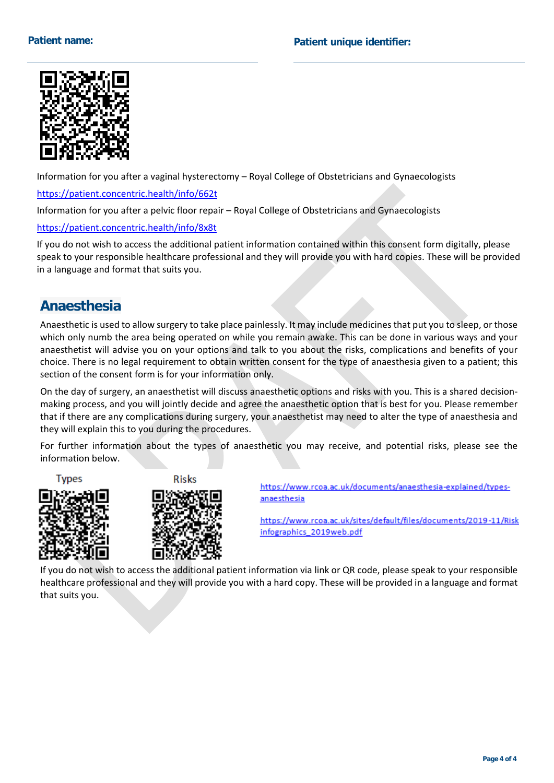

Information for you after a vaginal hysterectomy – Royal College of Obstetricians and Gynaecologists <https://patient.concentric.health/info/662t>

Information for you after a pelvic floor repair – Royal College of Obstetricians and Gynaecologists

<https://patient.concentric.health/info/8x8t>

If you do not wish to access the additional patient information contained within this consent form digitally, please speak to your responsible healthcare professional and they will provide you with hard copies. These will be provided in a language and format that suits you.

### **Anaesthesia**

Anaesthetic is used to allow surgery to take place painlessly. It may include medicines that put you to sleep, or those which only numb the area being operated on while you remain awake. This can be done in various ways and your anaesthetist will advise you on your options and talk to you about the risks, complications and benefits of your choice. There is no legal requirement to obtain written consent for the type of anaesthesia given to a patient; this section of the consent form is for your information only.

On the day of surgery, an anaesthetist will discuss anaesthetic options and risks with you. This is a shared decisionmaking process, and you will jointly decide and agree the anaesthetic option that is best for you. Please remember that if there are any complications during surgery, your anaesthetist may need to alter the type of anaesthesia and they will explain this to you during the procedures.

For further information about the types of anaesthetic you may receive, and potential risks, please see the information below.

**Types** 







https://www.rcoa.ac.uk/documents/anaesthesia-explained/typesanaesthesia

https://www.rcoa.ac.uk/sites/default/files/documents/2019-11/Risk infographics\_2019web.pdf

If you do not wish to access the additional patient information via link or QR code, please speak to your responsible healthcare professional and they will provide you with a hard copy. These will be provided in a language and format that suits you.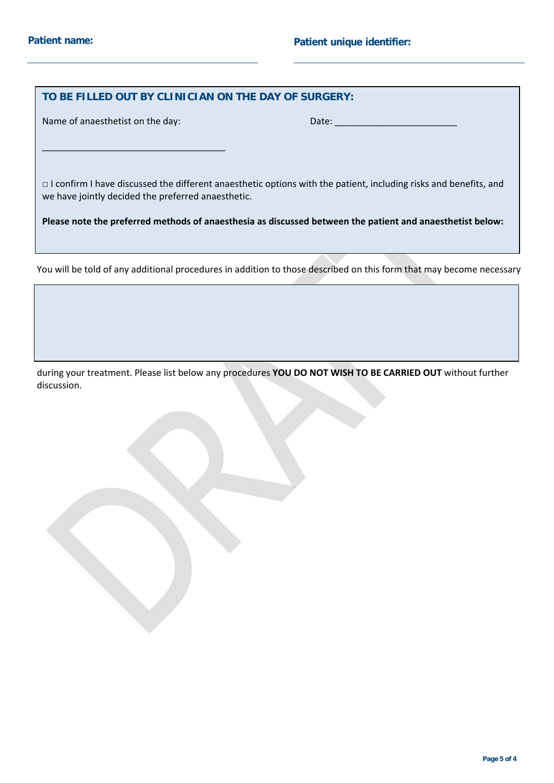#### **TO BE FILLED OUT BY CLINICIAN ON THE DAY OF SURGERY:**

Name of anaesthetist on the day: Date: Date: Date:

\_\_\_\_\_\_\_\_\_\_\_\_\_\_\_\_\_\_\_\_\_\_\_\_\_\_\_\_\_\_\_\_\_\_\_\_

□ I confirm I have discussed the different anaesthetic options with the patient, including risks and benefits, and we have jointly decided the preferred anaesthetic.

**Please note the preferred methods of anaesthesia as discussed between the patient and anaesthetist below:** 

You will be told of any additional procedures in addition to those described on this form that may become necessary

during your treatment. Please list below any procedures **YOU DO NOT WISH TO BE CARRIED OUT** without further discussion.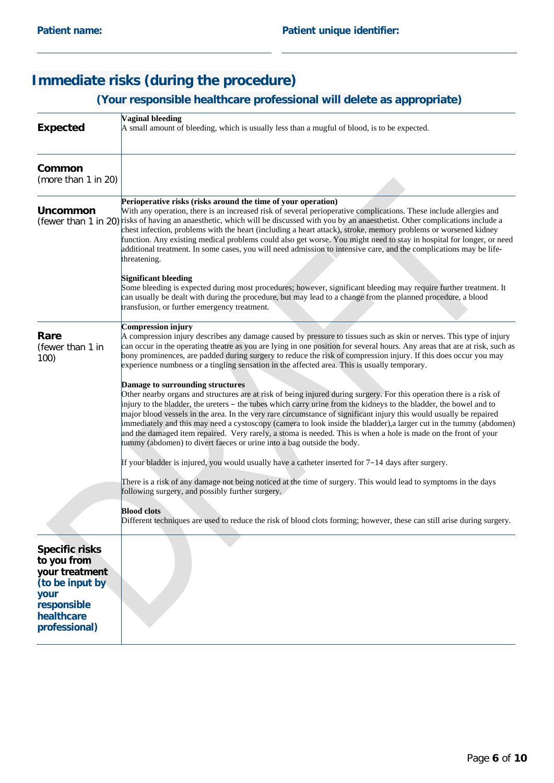# **Immediate risks (during the procedure)**

# **(Your responsible healthcare professional will delete as appropriate)**

| <b>Expected</b>                                                                                                                 | <b>Vaginal bleeding</b><br>A small amount of bleeding, which is usually less than a mugful of blood, is to be expected.                                                                                                                                                                                                                                                                                                                                                                                                                                                                                                                                                                                                    |  |
|---------------------------------------------------------------------------------------------------------------------------------|----------------------------------------------------------------------------------------------------------------------------------------------------------------------------------------------------------------------------------------------------------------------------------------------------------------------------------------------------------------------------------------------------------------------------------------------------------------------------------------------------------------------------------------------------------------------------------------------------------------------------------------------------------------------------------------------------------------------------|--|
| Common<br>(more than 1 in 20)                                                                                                   |                                                                                                                                                                                                                                                                                                                                                                                                                                                                                                                                                                                                                                                                                                                            |  |
| <b>Uncommon</b>                                                                                                                 | Perioperative risks (risks around the time of your operation)<br>With any operation, there is an increased risk of several perioperative complications. These include allergies and<br>(fewer than 1 in 20) risks of having an anaesthetic, which will be discussed with you by an anaesthetist. Other complications include a<br>chest infection, problems with the heart (including a heart attack), stroke, memory problems or worsened kidney<br>function. Any existing medical problems could also get worse. You might need to stay in hospital for longer, or need<br>additional treatment. In some cases, you will need admission to intensive care, and the complications may be life-<br>threatening.            |  |
|                                                                                                                                 | Significant bleeding<br>Some bleeding is expected during most procedures; however, significant bleeding may require further treatment. It<br>can usually be dealt with during the procedure, but may lead to a change from the planned procedure, a blood<br>transfusion, or further emergency treatment.                                                                                                                                                                                                                                                                                                                                                                                                                  |  |
| Rare<br>(fewer than 1 in<br>100)                                                                                                | <b>Compression injury</b><br>A compression injury describes any damage caused by pressure to tissues such as skin or nerves. This type of injury<br>can occur in the operating theatre as you are lying in one position for several hours. Any areas that are at risk, such as<br>bony prominences, are padded during surgery to reduce the risk of compression injury. If this does occur you may<br>experience numbness or a tingling sensation in the affected area. This is usually temporary.                                                                                                                                                                                                                         |  |
|                                                                                                                                 | Damage to surrounding structures<br>Other nearby organs and structures are at risk of being injured during surgery. For this operation there is a risk of<br>injury to the bladder, the ureters – the tubes which carry urine from the kidneys to the bladder, the bowel and to<br>major blood vessels in the area. In the very rare circumstance of significant injury this would usually be repaired<br>immediately and this may need a cystoscopy (camera to look inside the bladder), a larger cut in the tummy (abdomen)<br>and the damaged item repaired. Very rarely, a stoma is needed. This is when a hole is made on the front of your<br>tummy (abdomen) to divert faeces or urine into a bag outside the body. |  |
|                                                                                                                                 | If your bladder is injured, you would usually have a catheter inserted for $7-14$ days after surgery.                                                                                                                                                                                                                                                                                                                                                                                                                                                                                                                                                                                                                      |  |
|                                                                                                                                 | There is a risk of any damage not being noticed at the time of surgery. This would lead to symptoms in the days<br>following surgery, and possibly further surgery.                                                                                                                                                                                                                                                                                                                                                                                                                                                                                                                                                        |  |
|                                                                                                                                 | <b>Blood</b> clots<br>Different techniques are used to reduce the risk of blood clots forming; however, these can still arise during surgery.                                                                                                                                                                                                                                                                                                                                                                                                                                                                                                                                                                              |  |
| <b>Specific risks</b><br>to you from<br>your treatment<br>(to be input by<br>your<br>responsible<br>healthcare<br>professional) |                                                                                                                                                                                                                                                                                                                                                                                                                                                                                                                                                                                                                                                                                                                            |  |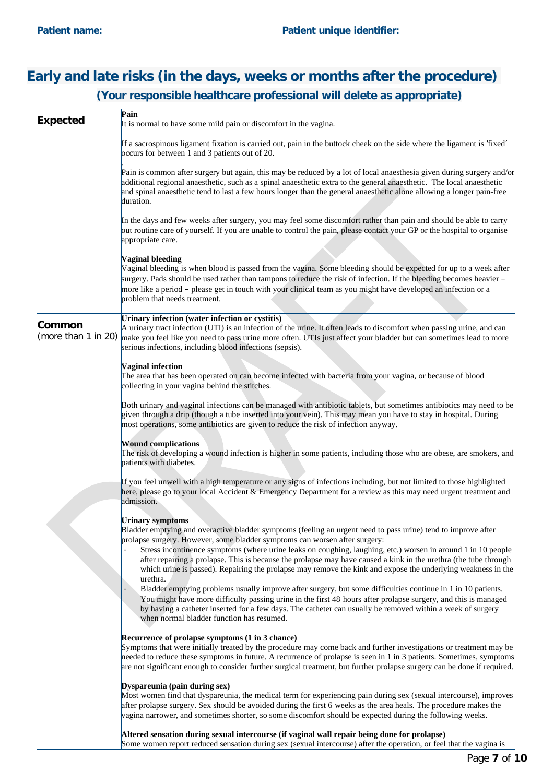### **Early and late risks (in the days, weeks or months after the procedure) (Your responsible healthcare professional will delete as appropriate)**

| <b>Expected</b>               | Pain<br>It is normal to have some mild pain or discomfort in the vagina.                                                                                                                                                                                                                                                                                                                                                                                                                                                                                                               |
|-------------------------------|----------------------------------------------------------------------------------------------------------------------------------------------------------------------------------------------------------------------------------------------------------------------------------------------------------------------------------------------------------------------------------------------------------------------------------------------------------------------------------------------------------------------------------------------------------------------------------------|
|                               | If a sacrospinous ligament fixation is carried out, pain in the buttock cheek on the side where the ligament is 'fixed'<br>occurs for between 1 and 3 patients out of 20.                                                                                                                                                                                                                                                                                                                                                                                                              |
|                               | Pain is common after surgery but again, this may be reduced by a lot of local anaesthesia given during surgery and/or<br>additional regional anaesthetic, such as a spinal anaesthetic extra to the general anaesthetic. The local anaesthetic<br>and spinal anaesthetic tend to last a few hours longer than the general anaesthetic alone allowing a longer pain-free<br>duration.                                                                                                                                                                                                   |
|                               | In the days and few weeks after surgery, you may feel some discomfort rather than pain and should be able to carry<br>out routine care of yourself. If you are unable to control the pain, please contact your GP or the hospital to organise<br>appropriate care.                                                                                                                                                                                                                                                                                                                     |
|                               | Vaginal bleeding<br>Vaginal bleeding is when blood is passed from the vagina. Some bleeding should be expected for up to a week after<br>surgery. Pads should be used rather than tampons to reduce the risk of infection. If the bleeding becomes heavier -<br>more like a period – please get in touch with your clinical team as you might have developed an infection or a<br>problem that needs treatment.                                                                                                                                                                        |
| Common<br>(more than 1 in 20) | Urinary infection (water infection or cystitis)<br>A urinary tract infection (UTI) is an infection of the urine. It often leads to discomfort when passing urine, and can<br>make you feel like you need to pass urine more often. UTIs just affect your bladder but can sometimes lead to more<br>serious infections, including blood infections (sepsis).                                                                                                                                                                                                                            |
|                               | <b>Vaginal infection</b><br>The area that has been operated on can become infected with bacteria from your vagina, or because of blood<br>collecting in your vagina behind the stitches.                                                                                                                                                                                                                                                                                                                                                                                               |
|                               | Both urinary and vaginal infections can be managed with antibiotic tablets, but sometimes antibiotics may need to be<br>given through a drip (though a tube inserted into your vein). This may mean you have to stay in hospital. During<br>most operations, some antibiotics are given to reduce the risk of infection anyway.                                                                                                                                                                                                                                                        |
|                               | <b>Wound complications</b><br>The risk of developing a wound infection is higher in some patients, including those who are obese, are smokers, and<br>patients with diabetes.                                                                                                                                                                                                                                                                                                                                                                                                          |
|                               | If you feel unwell with a high temperature or any signs of infections including, but not limited to those highlighted<br>here, please go to your local Accident & Emergency Department for a review as this may need urgent treatment and<br>admission.                                                                                                                                                                                                                                                                                                                                |
|                               | <b>Urinary symptoms</b><br>Bladder emptying and overactive bladder symptoms (feeling an urgent need to pass urine) tend to improve after<br>prolapse surgery. However, some bladder symptoms can worsen after surgery:<br>Stress incontinence symptoms (where urine leaks on coughing, laughing, etc.) worsen in around 1 in 10 people<br>after repairing a prolapse. This is because the prolapse may have caused a kink in the urethra (the tube through<br>which urine is passed). Repairing the prolapse may remove the kink and expose the underlying weakness in the<br>urethra. |
|                               | Bladder emptying problems usually improve after surgery, but some difficulties continue in 1 in 10 patients.<br>You might have more difficulty passing urine in the first 48 hours after prolapse surgery, and this is managed<br>by having a catheter inserted for a few days. The catheter can usually be removed within a week of surgery<br>when normal bladder function has resumed.                                                                                                                                                                                              |
|                               | Recurrence of prolapse symptoms (1 in 3 chance)<br>Symptoms that were initially treated by the procedure may come back and further investigations or treatment may be<br>needed to reduce these symptoms in future. A recurrence of prolapse is seen in 1 in 3 patients. Sometimes, symptoms<br>are not significant enough to consider further surgical treatment, but further prolapse surgery can be done if required.                                                                                                                                                               |
|                               | Dyspareunia (pain during sex)<br>Most women find that dyspareunia, the medical term for experiencing pain during sex (sexual intercourse), improves<br>after prolapse surgery. Sex should be avoided during the first 6 weeks as the area heals. The procedure makes the<br>vagina narrower, and sometimes shorter, so some discomfort should be expected during the following weeks.                                                                                                                                                                                                  |
|                               | Altered sensation during sexual intercourse (if vaginal wall repair being done for prolapse)                                                                                                                                                                                                                                                                                                                                                                                                                                                                                           |

Some women report reduced sensation during sex (sexual intercourse) after the operation, or feel that the vagina is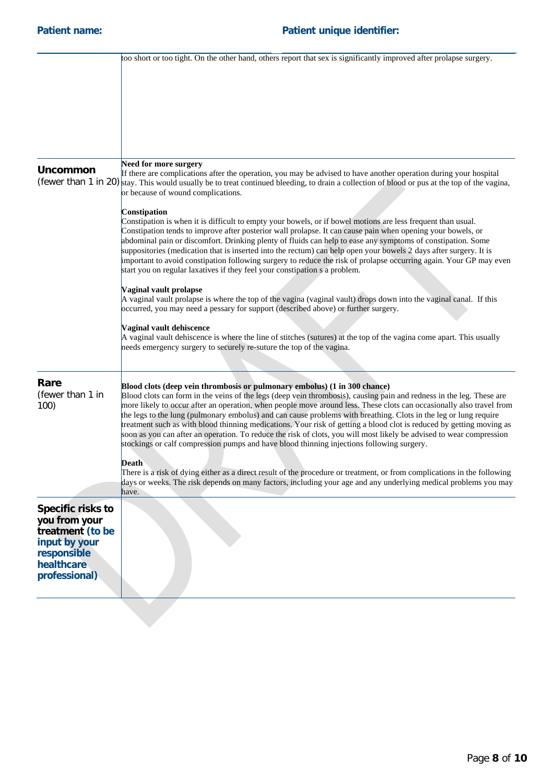|                                                                                                                       | too short or too tight. On the other hand, others report that sex is significantly improved after prolapse surgery.                                                                                                                                                                                                                                                                                                                                                                                                                                                                                                                                                                                                                                                                        |
|-----------------------------------------------------------------------------------------------------------------------|--------------------------------------------------------------------------------------------------------------------------------------------------------------------------------------------------------------------------------------------------------------------------------------------------------------------------------------------------------------------------------------------------------------------------------------------------------------------------------------------------------------------------------------------------------------------------------------------------------------------------------------------------------------------------------------------------------------------------------------------------------------------------------------------|
|                                                                                                                       |                                                                                                                                                                                                                                                                                                                                                                                                                                                                                                                                                                                                                                                                                                                                                                                            |
|                                                                                                                       |                                                                                                                                                                                                                                                                                                                                                                                                                                                                                                                                                                                                                                                                                                                                                                                            |
|                                                                                                                       |                                                                                                                                                                                                                                                                                                                                                                                                                                                                                                                                                                                                                                                                                                                                                                                            |
|                                                                                                                       |                                                                                                                                                                                                                                                                                                                                                                                                                                                                                                                                                                                                                                                                                                                                                                                            |
|                                                                                                                       |                                                                                                                                                                                                                                                                                                                                                                                                                                                                                                                                                                                                                                                                                                                                                                                            |
|                                                                                                                       | Need for more surgery                                                                                                                                                                                                                                                                                                                                                                                                                                                                                                                                                                                                                                                                                                                                                                      |
| <b>Uncommon</b>                                                                                                       | If there are complications after the operation, you may be advised to have another operation during your hospital<br>(fewer than 1 in 20) stay. This would usually be to treat continued bleeding, to drain a collection of blood or pus at the top of the vagina,<br>or because of wound complications.                                                                                                                                                                                                                                                                                                                                                                                                                                                                                   |
|                                                                                                                       | Constipation                                                                                                                                                                                                                                                                                                                                                                                                                                                                                                                                                                                                                                                                                                                                                                               |
|                                                                                                                       | Constipation is when it is difficult to empty your bowels, or if bowel motions are less frequent than usual.<br>Constipation tends to improve after posterior wall prolapse. It can cause pain when opening your bowels, or<br>abdominal pain or discomfort. Drinking plenty of fluids can help to ease any symptoms of constipation. Some<br>suppositories (medication that is inserted into the rectum) can help open your bowels 2 days after surgery. It is<br>important to avoid constipation following surgery to reduce the risk of prolapse occurring again. Your GP may even<br>start you on regular laxatives if they feel your constipation s a problem.                                                                                                                        |
|                                                                                                                       | Vaginal vault prolapse                                                                                                                                                                                                                                                                                                                                                                                                                                                                                                                                                                                                                                                                                                                                                                     |
|                                                                                                                       | A vaginal vault prolapse is where the top of the vagina (vaginal vault) drops down into the vaginal canal. If this<br>occurred, you may need a pessary for support (described above) or further surgery.                                                                                                                                                                                                                                                                                                                                                                                                                                                                                                                                                                                   |
|                                                                                                                       | Vaginal vault dehiscence                                                                                                                                                                                                                                                                                                                                                                                                                                                                                                                                                                                                                                                                                                                                                                   |
|                                                                                                                       | A vaginal vault dehiscence is where the line of stitches (sutures) at the top of the vagina come apart. This usually<br>needs emergency surgery to securely re-suture the top of the vagina.                                                                                                                                                                                                                                                                                                                                                                                                                                                                                                                                                                                               |
|                                                                                                                       |                                                                                                                                                                                                                                                                                                                                                                                                                                                                                                                                                                                                                                                                                                                                                                                            |
| Rare<br>(fewer than 1 in<br>100)                                                                                      | Blood clots (deep vein thrombosis or pulmonary embolus) (1 in 300 chance)<br>Blood clots can form in the veins of the legs (deep vein thrombosis), causing pain and redness in the leg. These are<br>more likely to occur after an operation, when people move around less. These clots can occasionally also travel from<br>the legs to the lung (pulmonary embolus) and can cause problems with breathing. Clots in the leg or lung require<br>treatment such as with blood thinning medications. Your risk of getting a blood clot is reduced by getting moving as<br>soon as you can after an operation. To reduce the risk of clots, you will most likely be advised to wear compression<br>stockings or calf compression pumps and have blood thinning injections following surgery. |
|                                                                                                                       | Death<br>There is a risk of dying either as a direct result of the procedure or treatment, or from complications in the following<br>days or weeks. The risk depends on many factors, including your age and any underlying medical problems you may<br>have.                                                                                                                                                                                                                                                                                                                                                                                                                                                                                                                              |
| Specific risks to<br>you from your<br>treatment (to be<br>input by your<br>responsible<br>healthcare<br>professional) |                                                                                                                                                                                                                                                                                                                                                                                                                                                                                                                                                                                                                                                                                                                                                                                            |
|                                                                                                                       |                                                                                                                                                                                                                                                                                                                                                                                                                                                                                                                                                                                                                                                                                                                                                                                            |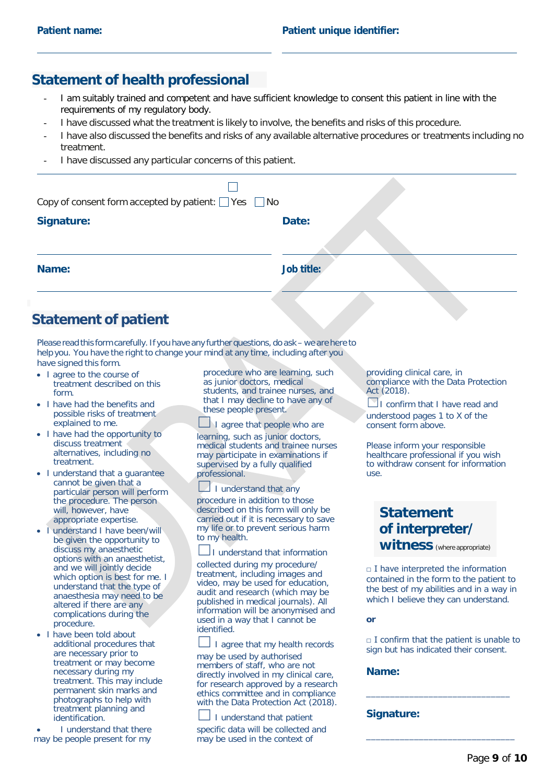### **Statement of health professional**

- I am suitably trained and competent and have sufficient knowledge to consent this patient in line with the requirements of my regulatory body.
- I have discussed what the treatment is likely to involve, the benefits and risks of this procedure.
- I have also discussed the benefits and risks of any available alternative procedures or treatments including no treatment.
- I have discussed any particular concerns of this patient.

| Copy of consent form accepted by patient: $\Box$ Yes $\Box$ No |            |
|----------------------------------------------------------------|------------|
| <b>Signature:</b>                                              | Date:      |
| Name:                                                          | Job title: |
|                                                                |            |

# **Statement of patient**

Please read this form carefully. If you have any further questions, do ask – we are here to help you. You have the right to change your mind at any time, including after you have signed this form.

- I agree to the course of treatment described on this form.
- I have had the benefits and possible risks of treatment explained to me.
- I have had the opportunity to discuss treatment alternatives, including no treatment.
- I understand that a guarantee cannot be given that a particular person will perform the procedure. The person will, however, have appropriate expertise.
- I understand I have been/will be given the opportunity to discuss my anaesthetic options with an anaesthetist, and we will jointly decide which option is best for me. I understand that the type of anaesthesia may need to be altered if there are any complications during the procedure.
- I have been told about additional procedures that are necessary prior to treatment or may become necessary during my treatment. This may include permanent skin marks and photographs to help with treatment planning and identification.
- I understand that there may be people present for my

procedure who are learning, such as junior doctors, medical students, and trainee nurses, and that I may decline to have any of these people present.

I agree that people who are learning, such as junior doctors, medical students and trainee nurses may participate in examinations if supervised by a fully qualified professional.

I understand that any

procedure in addition to those described on this form will only be carried out if it is necessary to save my life or to prevent serious harm to my health.

I understand that information

collected during my procedure/ treatment, including images and video, may be used for education, audit and research (which may be published in medical journals). All information will be anonymised and used in a way that I cannot be identified.

I agree that my health records may be used by authorised members of staff, who are not directly involved in my clinical care, for research approved by a research ethics committee and in compliance with the Data Protection Act (2018).

☐ I understand that patient specific data will be collected and may be used in the context of

providing clinical care, in compliance with the Data Protection Act (2018).

 $\Box$ I confirm that I have read and understood pages 1 to X of the consent form above.

Please inform your responsible healthcare professional if you wish to withdraw consent for information use.

### **Statement of interpreter/ witness** (where appropriate)

 $\Box$  I have interpreted the information contained in the form to the patient to the best of my abilities and in a way in which I believe they can understand.

**or**

 $\Box$  I confirm that the patient is unable to sign but has indicated their consent.

\_\_\_\_\_\_\_\_\_\_\_\_\_\_\_\_\_\_\_\_\_\_\_\_\_\_\_\_\_\_

\_\_\_\_\_\_\_\_\_\_\_\_\_\_\_\_\_\_\_\_\_\_\_\_\_\_\_\_\_\_\_

#### **Name:**

#### **Signature:**